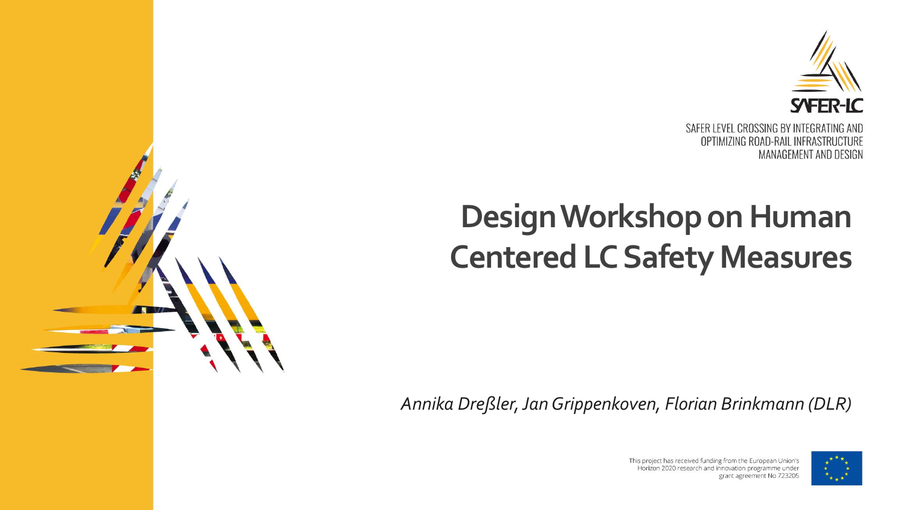

## **Design Workshop on Human Centered LC Safety Measures**

*Annika Dreßler, Jan Grippenkoven, Florian Brinkmann (DLR)*



This project has received funding from the European Union's Horizon 2020 research and innovation programme under grant agreement No 723205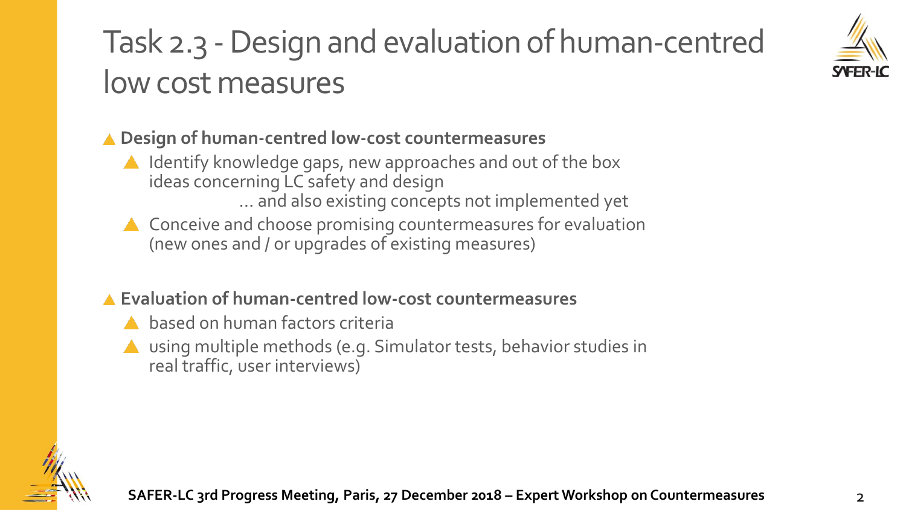

## Task 2.3 -Design and evaluation of human-centred low cost measures

### **Design of human-centred low-cost countermeasures**

- Identify knowledge gaps, new approaches and out of the box ideas concerning LC safety and design
	- … and also existing concepts not implemented yet
- A Conceive and choose promising countermeasures for evaluation (new ones and / or upgrades of existing measures)

### **Evaluation of human-centred low-cost countermeasures**

- A based on human factors criteria
- using multiple methods (e.g. Simulator tests, behavior studies in real traffic, user interviews)

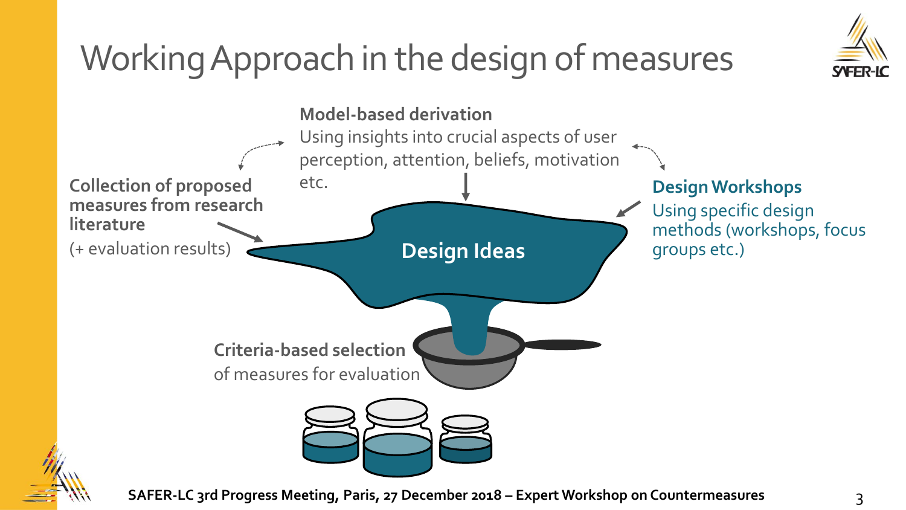

# WorkingApproach in the design of measures

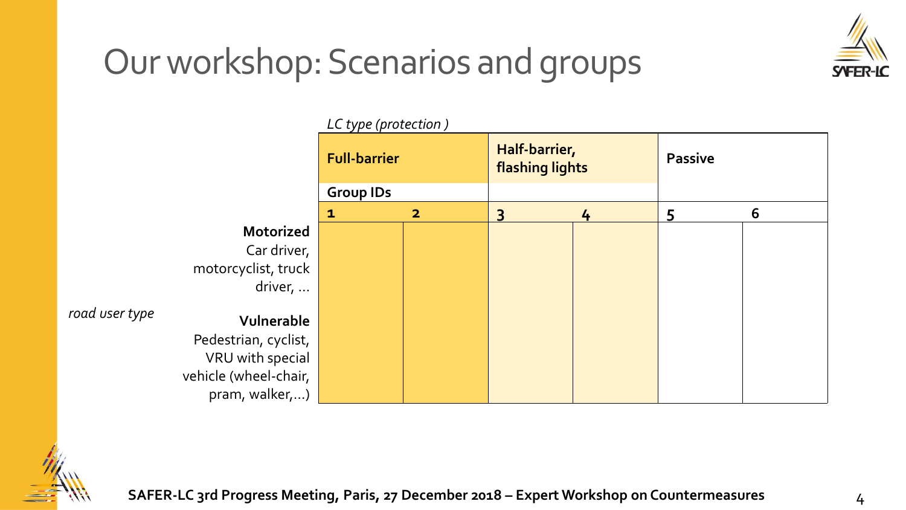

## Our workshop: Scenarios and groups



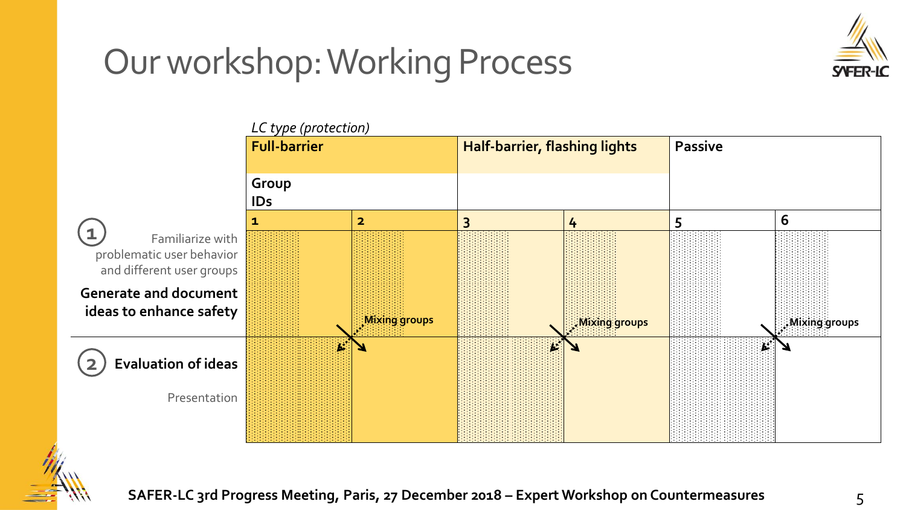# Our workshop: Working Process





**SYFER**